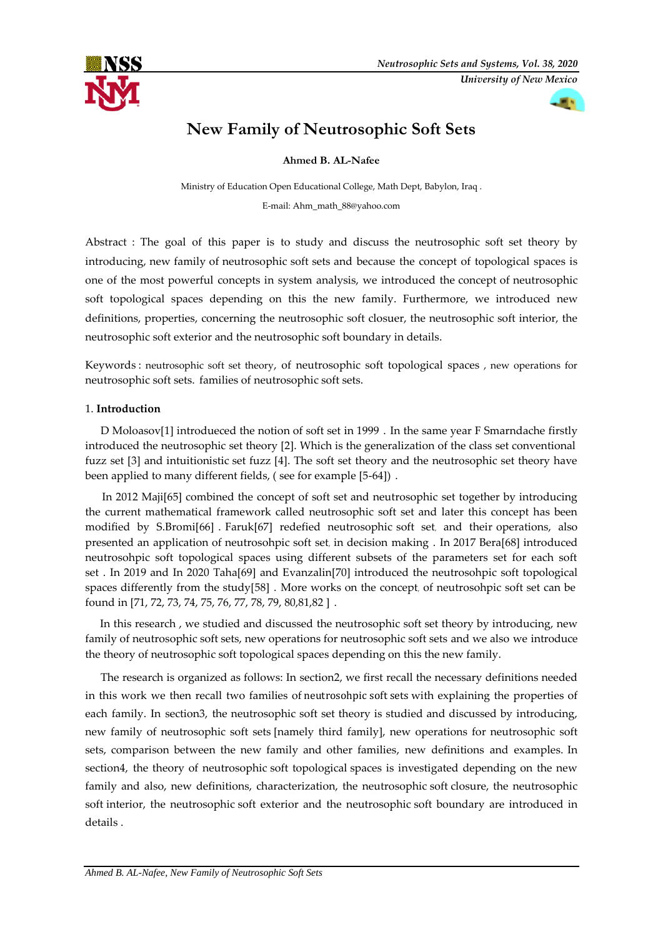



# **New Family of Neutrosophic Soft Sets**

**Ahmed B. AL-Nafee**

Ministry of Education Open Educational College, Math Dept, Babylon, Iraq . E-mail: Ahm\_math\_88@yahoo.com

Abstract : The goal of this paper is to study and discuss the neutrosophic soft set theory by introducing, new family of neutrosophic soft sets and because the concept of topological spaces is one of the most powerful concepts in system analysis, we introduced the concept of neutrosophic soft topological spaces depending on this the new family. Furthermore, we introduced new definitions, properties, concerning the neutrosophic soft closuer, the neutrosophic soft interior, the neutrosophic soft exterior and the neutrosophic soft boundary in details.

Keywords": neutrosophic soft set theory, of neutrosophic soft topological spaces , new operations for neutrosophic soft sets. families of neutrosophic soft sets.

# 1. **Introduction**-

D Moloasov[1] introdueced the notion of soft set in 1999. In the same year F Smarndache firstly introduced the neutrosophic set theory [2]. Which is the generalization of the class set conventional. fuzz set  $[3]$  and intuitionistic set fuzz  $[4]$ . The soft set theory and the neutrosophic set theory have been applied to many different fields, (see for example [5-64]).

 In 2012 Maji[65] combined the concept of soft set and neutrosophic set together by introducing the current mathematical framework called neutrosophic soft set and later this concept has been modified by S.Bromi[66]. Faruk[67] redefied neutrosophic soft set, and their operations, also presented an application of neutrosohpic soft set, in decision-making . In 2017 Bera[68] introduced neutrosohpic soft topological spaces using different subsets of the parameters set for each soft set . In 2019 and In 2020 Taha[69] and Evanzalin[70] introduced the neutrosohpic soft topological spaces differently from the study[58]. More works on the concept, of neutrosohpic soft set can be found in [71, 72, 73, 74, 75, 76, 77, 78, 79, 80, 81, 82].

 In this research , we studied and discussed the neutrosophic soft set theory by introducing, new family of neutrosophic soft sets, new operations for neutrosophic soft sets and we also we introduce the theory of neutrosophic soft topological spaces depending on this the new family.

The research is organized as follows: In section2, we first recall the necessary definitions needed in this work we then recall two families of neutrosohpic soft sets with explaining the properties of each family. In section3, the neutrosophic soft set theory is studied and discussed by introducing, new family of neutrosophic soft sets [namely third family], new operations for neutrosophic soft sets, comparison between the new family and other families, new definitions and examples. In section4, the theory of neutrosophic soft topological spaces is investigated depending on the new family and also, new definitions, characterization, the neutrosophic soft closure, the neutrosophic soft interior, the neutrosophic soft exterior and the neutrosophic soft boundary are introduced in details .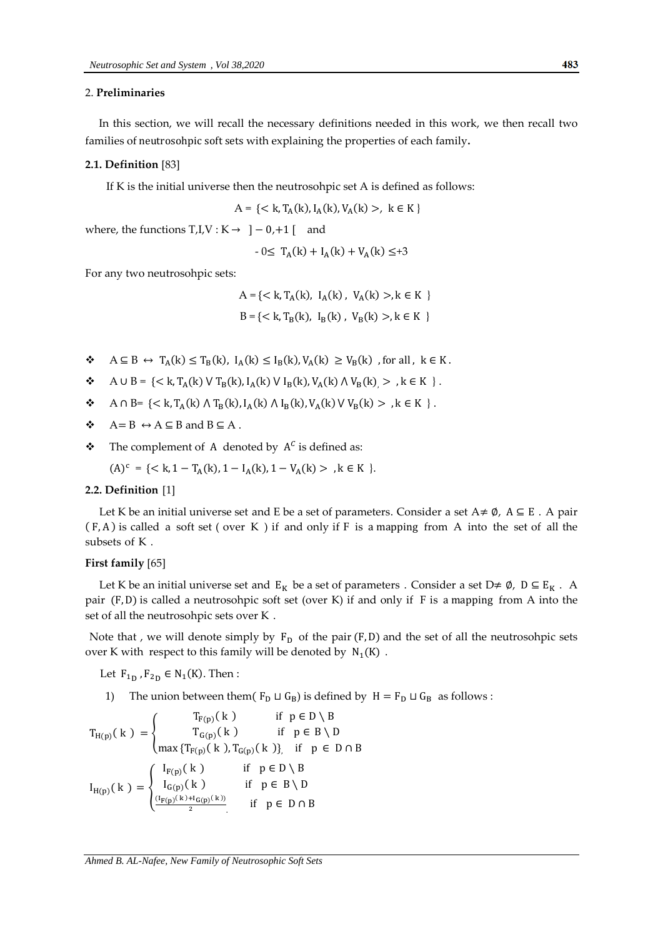#### 2. **Preliminaries,**

In this section, we will recall the necessary definitions needed in this work, we then recall two families of neutrosohpic soft sets with explaining the properties of each family.

#### **2.1. Definition** [83]

If K is the initial universe then the neutrosohpic set A is defined as follows:

$$
A = \{ < k, T_A(k), I_A(k), V_A(k) > , k \in K \}
$$

where, the functions  $T_t I, V: K \rightarrow \ ]-0,+1[$  and

$$
-0 \leq T_A(k) + I_A(k) + V_A(k) \leq +3
$$

For any two neutrosohpic sets:

$$
A = \{ < k, T_A(k), I_A(k), V_A(k) > k \in K \}
$$
\n
$$
B = \{ < k, T_B(k), I_B(k), V_B(k) > k \in K \}
$$

- $\mathbf{\hat{B}} \in \mathbf{A} \subseteq \mathbf{B} \leftrightarrow T_A(\mathbf{k}) \leq T_B(\mathbf{k}), \ I_A(\mathbf{k}) \leq I_B(\mathbf{k}), V_A(\mathbf{k}) \geq V_B(\mathbf{k})$ ,
- $\mathbf{\hat{A}} \cup \mathbf{B} = \{ \langle k, T_A(k) \vee T_B(k), I_A(k) \vee I_B(k), V_A(k) \wedge V_B(k) \rangle > , k \in K \}$ .
- $\bullet$  A  $\cap$  B= {< k, T<sub>A</sub>(k)  $\wedge$  T<sub>B</sub>(k), I<sub>A</sub>(k)  $\wedge$  I<sub>B</sub>(k), V<sub>A</sub>(k)  $\vee$  V<sub>B</sub>(k) > , k ∈ K }.
- $\div$  A = B  $\leftrightarrow$  A  $\subseteq$  B and B  $\subseteq$  A.
- $\bullet$  The complement of A denoted by  $A^C$  is defined as:

$$
(A)^{c} = \{ < k, 1 - T_{A}(k), 1 - I_{A}(k), 1 - V_{A}(k) > , k \in K \}.
$$

#### **2.2. Definition-**[1]

Let K be an initial universe set and E be a set of parameters. Consider a set  $A \neq \emptyset$ ,  $A \subseteq E$ . A pair  $(F, A)$  is called a soft set (over K) if and only if F is a mapping from A into the set of all the subsets of K.

#### **First family** [65]

Let K be an initial universe set and  $E_K$  be a set of parameters. Consider a set D $\neq \emptyset$ ,  $D \subseteq E_K$ . A pair  $(F, D)$  is called a neutrosohpic soft set (over K) if and only if  $F$  is a mapping from A into the set of all the neutrosohpic sets over K.

Note that , we will denote simply by  $F_D$  of the pair ( $F$ ,  $D$ ) and the set of all the neutrosohpic sets over K with respect to this family will be denoted by  $N_1(K)$ .

Let  $F_{1D}$ ,  $F_{2D} \in N_1(K)$ . Then:

1) The union between them( $F_D \sqcup G_B$ ) is defined by  $H = F_D \sqcup G_B$  as follows :

$$
T_{H(p)}(k) = \begin{cases} T_{F(p)}(k) & \text{if } p \in D \setminus B \\ T_{G(p)}(k) & \text{if } p \in B \setminus D \\ \max\{T_{F(p)}(k), T_{G(p)}(k)\} & \text{if } p \in D \cap B \end{cases}
$$

$$
I_{H(p)}(k) = \begin{cases} I_{F(p)}(k) & \text{if } p \in D \setminus B \\ I_{G(p)}(k) & \text{if } p \in B \setminus D \\ \frac{(I_{F(p)}(k) + I_{G(p)}(k))}{2} & \text{if } p \in D \cap B \end{cases}
$$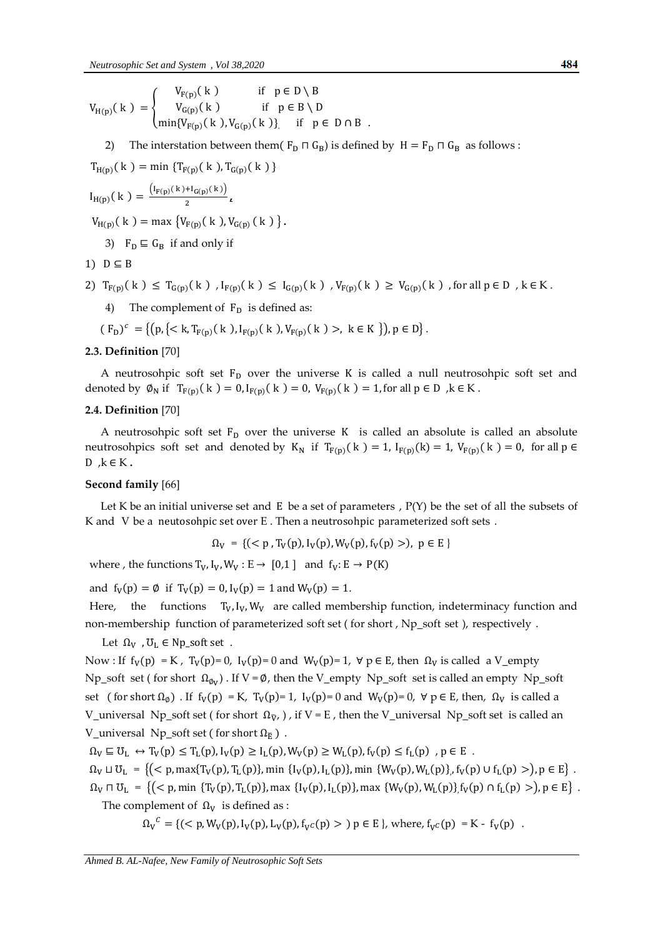$$
V_{H(p)}(k) = \begin{cases} V_{F(p)}(k) & \text{if } p \in D \setminus B \\ V_{G(p)}(k) & \text{if } p \in B \setminus D \\ min\{V_{F(p)}(k), V_{G(p)}(k)\} & \text{if } p \in D \cap B \end{cases}
$$

2) The interstation between them( $F_D \Pi G_B$ ) is defined by  $H = F_D \Pi G_B$  as follows :

 $T_{H(p)}(k) = \min \{ T_{F(p)}(k), T_{G(p)}(k) \}$ 

$$
I_{H(p)}(k) = \frac{(I_{F(p)}(k) + I_{G(p)}(k))}{2} \iota
$$

 $V_{H(p)}(k) = \max \{ V_{F(p)}(k), V_{G(p)}(k) \}.$ 

3)  $F_D \subseteq G_B$  if and only if

$$
1) D \subseteq B
$$

- 2)  $T_{F(p)}(k) \leq T_{G(p)}(k)$ ,  $I_{F(p)}(k) \leq I_{G(p)}(k)$ ,  $V_{F(p)}(k) \geq V_{G(p)}(k)$ , for all  $p \in D$ ,  $k \in K$ .
	- 4) The complement of  $F<sub>D</sub>$  is defined as:
- $(F_D)^c = \{ (p, \{ < k, T_{F(p)}(k), I_{F(p)}(k), V_{F(p)}(k) >, k \in K \} ), p \in D \}.$

## **2.3. Definition** [70]

A neutrosohpic soft set  $F<sub>D</sub>$  over the universe K is called a null neutrosohpic soft set and denoted by  $\emptyset_N$  if  $T_{F(p)}(k) = 0, I_{F(p)}(k) = 0, V_{F(p)}(k) = 1$ , for all  $p \in D$ ,  $k \in K$ .

#### **2.4. Definition** [70]

A neutrosohpic soft set  $F<sub>D</sub>$  over the universe K is called an absolute is called an absolute neutrosohpics soft set and denoted by  $K_N$  if  $T_{F(p)}(k) = 1$ ,  $I_{F(p)}(k) = 1$ ,  $V_{F(p)}(k) =$  $D, k \in K$ .

## **Second family** [66]

Let K be an initial universe set and E be a set of parameters,  $P(Y)$  be the set of all-the subsets of K and V be a neutosohpic set over  $E$ . Then a neutrosohpic parameterized soft sets.

$$
\Omega_V = \{ (\langle p, T_V(p), I_V(p), W_V(p), f_V(p) \rangle), \ p \in E \}
$$

where , the functions  $T_V$ ,  $I_V$ ,  $W_V$  :  $E \rightarrow [0,1]$  and  $f_V$ :  $E \rightarrow P(K)$ 

and  $f_V(p) = \emptyset$  if  $T_V(p) = 0, I_V(p) = 1$  and  $W_V(p) = 1$ .

Here, the functions  $T_v$ ,  $I_v$ ,  $W_v$  are called membership-function, indeterminacy function and non-membership function of parameterized soft set (for short, Np\_soft set), respectively.

Let  $\Omega_V$ ,  $\mathcal{U}_L \in \mathbb{N}$  p\_soft set.

Now : If  $f_V(p) = K$ ,  $T_V(p)=0$ ,  $I_V(p)=0$  and  $W_V(p)=1$ ,  $\forall p \in E$ , then  $\Omega_V$  is called a V\_empty Np\_soft set ( for short  $\Omega_{\phi_V}$ ). If V =  $\phi$ , then the V\_empty, Np\_soft, set is called an empty, Np\_soft set ( for short  $\Omega_{\emptyset}$ ) . If  $f_V(p) = K$ ,  $T_V(p)=1$ ,  $I_V(p)=0$  and  $W_V(p)=0$ ,  $\forall p \in E$ , then,  $\Omega_V$  is called a V\_universal, Np\_soft set ( for short  $\Omega_{\tilde{v}}$ , ) , if V = E , then the V\_universal, Np\_soft set, is called an V\_universal, Np\_soft set ( for short  $\Omega_{\mathbb{F}}$  ).

 $\Omega_V \subseteq U_L \leftrightarrow T_V(p) \leq T_L(p), I_V(p) \geq I_L(p), W_V(p) \geq W_L(p), f_V(p) \leq f_L(p)$ ,  $p \in E$ .

 $\Omega_V \sqcup U_L = \{ ( \langle p, \max\{ T_V(p), T_L(p) \}, \min \{ I_V(p), I_L(p) \}, \min \{ W_V(p), W_L(p) \}, f_V(p) \cup f_L(p) \} ) , p \in E \}$ .

 $\Omega_V \cap U_L = \{ ( \langle p, \min \{ T_V(p), T_L(p) \}, \max \{ I_V(p), I_L(p) \}, \max \{ W_V(p), W_L(p) \}, f_V(p) \cap f_L(p) > ), p \in E \}$ . The complement of  $\Omega_V$  is defined as :

 $\Omega_V^C = \{ (\langle p, W_V(p), I_V(p), L_V(p), f_{V^C}(p) \rangle \}$   $p \in E$ , where,  $f_{V^C}(p) = K - f_V(p)$ .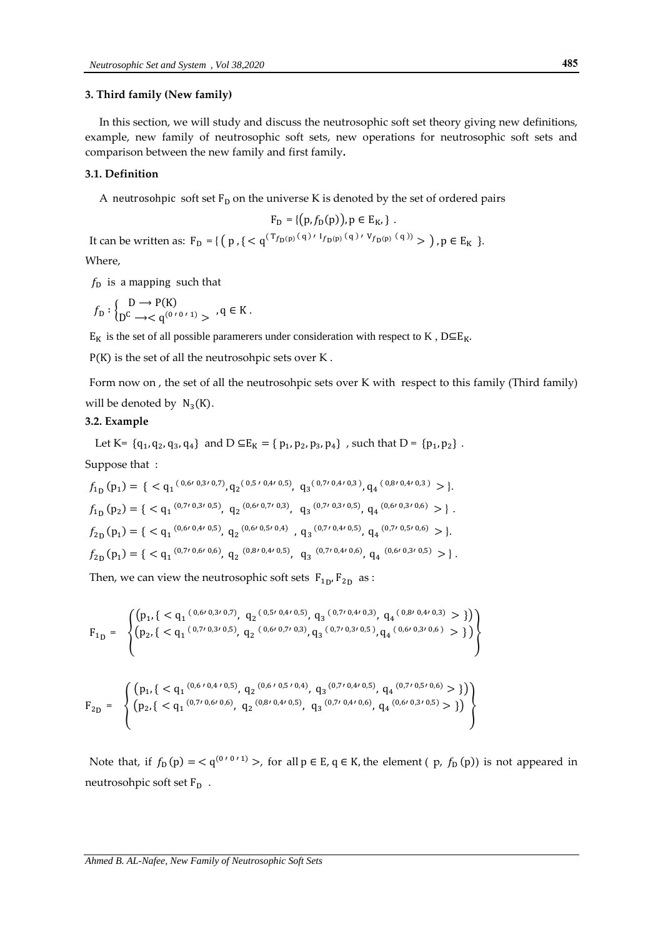## **3. Third family (New family)**

In this section, we will study and discuss the neutrosophic soft set theory giving new definitions, example, new family of neutrosophic soft sets, new operations for neutrosophic soft sets and comparison between the new family and first family**.**

#### **3.1. Definition**

A neutrosohpic soft set  $F_D$  on the universe K is denoted by the set of ordered pairs

$$
F_D = \{ (p, f_D(p)), p \in E_K, \} .
$$

It can be written as:  $F_D = \{ (p, \{ < q^{(T_{f_D(p)}(q) \cdot I_{f_D(p)}(q) \cdot V_{f_D(p)}(q))} > ), p \in E_K \} \}$ Where,

 $f<sub>D</sub>$  is a mapping such that

$$
f_{\mathcal{D}} : \begin{cases} \mathcal{D} \longrightarrow \mathcal{P}(\mathcal{K}) \\ \mathcal{D}^{\mathcal{C}} \longrightarrow < \mathcal{q}^{(0^{r_0 r_1})} > \end{cases} , \mathcal{q} \in \mathcal{K}.
$$

 $E_K$  is the set of all possible paramerers under consideration with respect to K,  $D \subseteq E_K$ .

 $P(K)$  is the set of all the neutrosohpic sets over K.

Form now on, the set of all the neutrosohpic sets over K with respect to this family (Third family) will be denoted by  $N_3(K)$ .

## **3.2. Example**

Let K= {
$$
q_1
$$
,  $q_2$ ,  $q_3$ ,  $q_4$ } and D  $\subseteq E_K$  = {  $p_1$ ,  $p_2$ ,  $p_3$ ,  $p_4$ }, such that D = { $p_1$ ,  $p_2$  }.

Suppose that :

$$
f_{1D}(p_1) = \{ \langle q_1^{(0,6/0,3/0,7)}, q_2^{(0,5/0,4/0,5)}, q_3^{(0,7/0,4/0,3)}, q_4^{(0,8/0,4/0,3)} \rangle \}.
$$
  
\n
$$
f_{1D}(p_2) = \{ \langle q_1^{(0,7/0,3/0,5)}, q_2^{(0,6/0,7/0,3)}, q_3^{(0,7/0,3/0,5)}, q_4^{(0,6/0,3/0,6)} \rangle \}.
$$
  
\n
$$
f_{2D}(p_1) = \{ \langle q_1^{(0,6/0,4/0,5)}, q_2^{(0,6/0,5/0,4)}, q_3^{(0,7/0,4/0,5)}, q_4^{(0,7/0,5/0,6)} \rangle \}.
$$
  
\n
$$
f_{2D}(p_1) = \{ \langle q_1^{(0,7/0,6/0,6)}, q_2^{(0,8/0,4/0,5)}, q_3^{(0,7/0,4/0,6)}, q_4^{(0,6/0,3/0,5)} \rangle \}.
$$

Then, we can view the neutrosophic soft sets  $F_{1p}$ ,  $F_{2p}$  as :

$$
F_{1D} = \left\{\n\begin{pmatrix}\n(p_1, \{ < q_1(0,6^{\prime\,0,3^{\prime\,0,7}}), q_2(0,5^{\prime\,0,4^{\prime}\,0,5}), q_3(0,7^{\prime\,0,4^{\prime}\,0,3}), q_4(0,8^{\prime\,0,4^{\prime}\,0,3)} > \} \\
(p_2, \{ < q_1(0,7^{\prime\,0,3^{\prime}\,0,5}), q_2(0,6^{\prime\,0,7^{\prime}\,0,3}), q_3(0,7^{\prime\,0,3^{\prime}\,0,5}), q_4(0,6^{\prime\,0,3^{\prime}\,0,6}) > \} \\
\end{pmatrix}\n\right\}
$$

$$
F_{2D} = \left\{ \begin{array}{l} \left( p_1, \{ \langle \mathbf{q}_1^{(0,6/0,4/0,5)}, \mathbf{q}_2^{(0,6/0,5/0,4)}, \mathbf{q}_3^{(0,7/0,4/0,5)}, \mathbf{q}_4^{(0,7/0,5/0,6)} > \} \right) \\ \left( p_2, \{ \langle \mathbf{q}_1^{(0,7/0,6/0,6)}, \mathbf{q}_2^{(0,8/0,4/0,5)}, \mathbf{q}_3^{(0,7/0,4/0,6)}, \mathbf{q}_4^{(0,6/0,3/0,5)} > \} \right) \end{array} \right\}
$$

Note that, if  $f_D(p) = \langle q^{(0.00 \cdot 1)} \rangle$ , for all  $p \in E$ ,  $q \in K$ , the element (p,  $f_D(p)$ ) is not appeared in neutrosohpic soft set F<sub>D</sub>.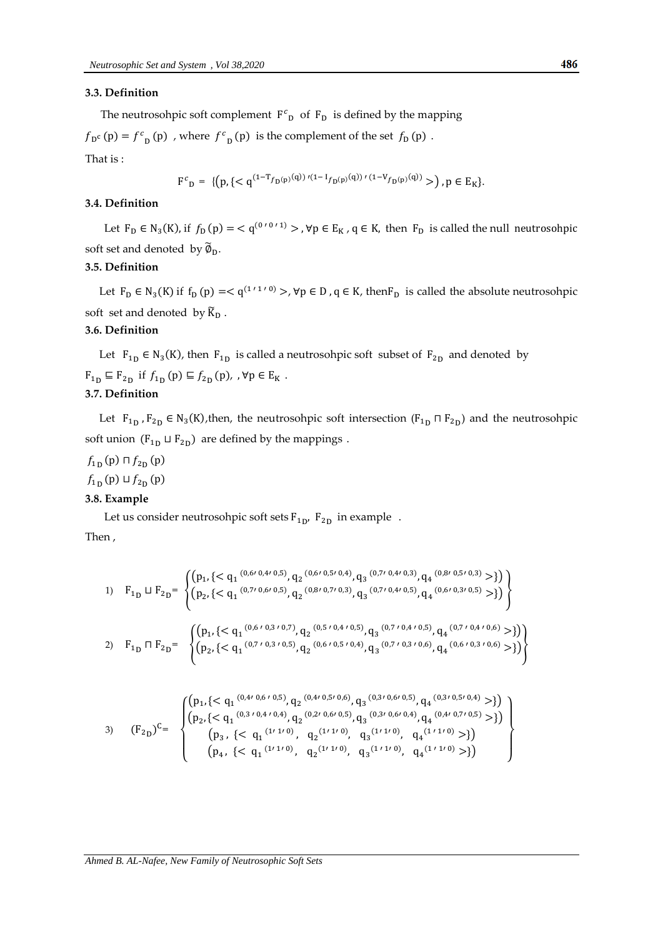#### **3.3. Definition**

The neutrosohpic soft complement  $F^c$ <sup>p</sup> of  $F_p$  is defined by the mapping

 $f_{\text{D}^c}(\text{p}) = f_{\text{D}}(p)$ , where  $f_{\text{D}}(p)$  is the complement of the set  $f_{\text{D}}(p)$ . That is :

$$
F^{c}{}_{D} = \{ (p, \{  \}, p \in E_K \}.
$$

#### **3.4. Definition**

Let  $F_D \in N_3(K)$ , if  $f_D(p) = \langle q^{(0/0.1)} \rangle$ ,  $\forall p \in E_K$ ,  $q \in K$ , then  $F_D$  is called the null soft set and denoted by  $\widetilde{\emptyset}_D$ .

# **3.5. Definition**

Let  $F_D \in N_3(K)$  if  $f_D(p) = < q^{(1 \tbinom{1}{1}, 0)} >$ ,  $\forall p \in D$ ,  $q \in K$ , then  $F_D$  is called the absolute neutrosohpic soft, set and denoted, by  $\widetilde{K}_D$ .

#### **3.6. Definition**

Let  $F_{1p} \in N_3(K)$ , then  $F_{1p}$  is called a neutrosohpic soft subset of  $F_{2p}$  and denoted by  $F_{1_D} \sqsubseteq F_{2_D}$  if  $f_{1_D}(p) \sqsubseteq f_{2_D}(p)$ ,  $\forall p \in E_K$ . **3.7. Definition** 

Let  $F_{1p}$ ,  $F_{2p} \in N_3(K)$ , then, the neutrosohpic soft intersection  $(F_{1p} \cap F_{2p})$  and the neutrosohpic soft union  $(F_{1p} \sqcup F_{2p})$  are defined by the mappings.

 $f_{1n}(p) \sqcap f_{2n}(p)$ 

 $f_{1n}(\mathbf{p}) \sqcup f_{2n}(\mathbf{p})$ 

#### **3.8. Example**

Let us consider neutrosohpic soft sets  $F_{1p}$ ,  $F_{2p}$  in example. Then ,

1) 
$$
F_{1D} \sqcup F_{2D} = \begin{cases} (p_1, \{ \}) \\ (p_2, \{ \}) \end{cases}
$$
  
2) 
$$
F_{1D} \sqcap F_{2D} = \begin{cases} (p_1, \{ \}) \\ (p_2, \{ \}) \end{cases}
$$

3) 
$$
(F_{2D})^C = \begin{Bmatrix} (p_1, \{ \le q_1 \, {}^{(0,4/0,6/0,5)}, q_2 \, {}^{(0,4/0,5/0,6)}, q_3 \, {}^{(0,3/0,6/0,5)}, q_4 \, {}^{(0,3/0,5/0,4)} > \} ) \\ (p_2, \{ \le q_1 \, {}^{(0,3/0,4/0,4)}, q_2 \, {}^{(0,2/0,6/0,5)}, q_3 \, {}^{(0,3/0,6/0,4)}, q_4 \, {}^{(0,4/0,7/0,5)} > \} ) \\ (p_3, \{ \le q_1 \, {}^{(1/1/0)}, q_2 \, {}^{(1/1/0)}, q_3 \, {}^{(1/1/0)}, q_4 \, {}^{(1/1/0)} > \} ) \\ (p_4, \{ \le q_1 \, {}^{(1/1/0)}, q_2 \, {}^{(1/1/0)}, q_3 \, {}^{(1/1/0)}, q_4 \, {}^{(1/1/0)} > \} ) \end{Bmatrix}
$$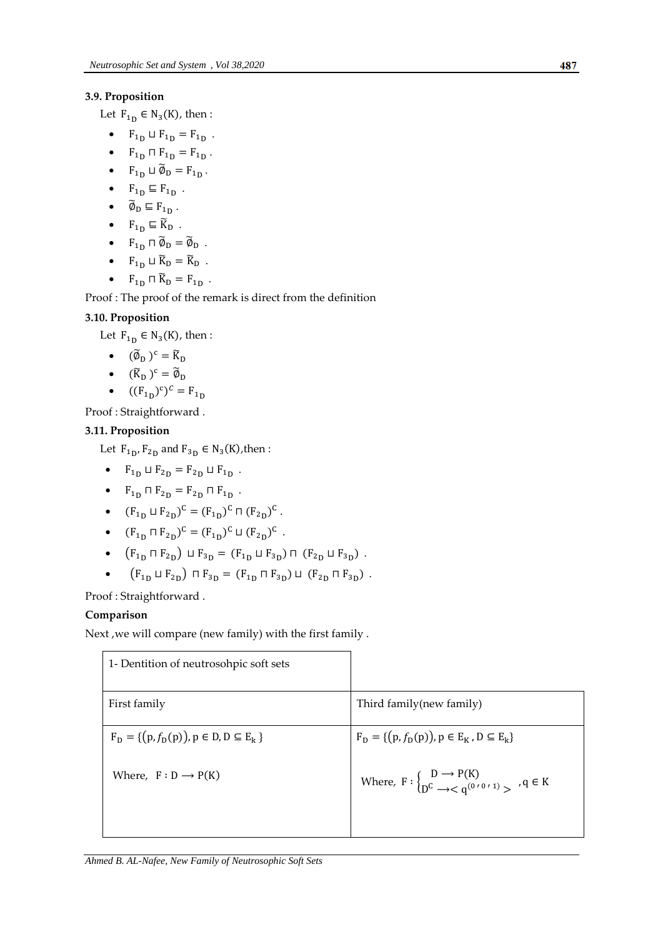# **3.9. Proposition**

Let  $F_{1D} \in N_3(K)$ , then:

- $F_{1D} \sqcup F_{1D} = F_{1D}$ .
- $F_{1D} \sqcap F_{1D} = F_{1D}$ .
- $F_{1D} \sqcup \widetilde{\emptyset}_D = F_{1D}$ .
- $\bullet$   $F_{1D} \subseteq F_{1D}$ .
- $\widetilde{\emptyset}_D \sqsubseteq F_{1_D}$ .
- $F_{1D} \subseteq \widetilde{K}_D$ .
- $F_{1D} \sqcap \widetilde{\emptyset}_D = \widetilde{\emptyset}_D$ .
- $F_{1D} \sqcup \widetilde{K}_D = \widetilde{K}_D$ .
- $F_{1D} \cap \widetilde{K}_D = F_{1D}$ .

Proof : The proof of the remark is direct from the definition

# **3.10. Proposition**

Let  $F_{1_D} \in N_3(K)$ , then :

- $(\widetilde{\emptyset}_{D})^{c} = \widetilde{K}_{D}$
- $(\widetilde{K}_D)^c = \widetilde{\phi}_D$
- $\bullet$   $((F_{1n})^c)^c$

Proof : Straightforward .

# **3.11. Proposition**

Let  $F_{1p}$ ,  $F_{2p}$  and  $F_{3p} \in N_3(K)$ , then :

- $F_{1D} \sqcup F_{2D} = F_{2D} \sqcup F_{1D}$ .
- $F_{1D} \sqcap F_{2D} = F_{2D} \sqcap F_{1D}$ .
- $(F_{1p} \sqcup F_{2p})^C = (F_{1p})^C \sqcap (F_{2p})^C$ .
- $(F_{1_D} \sqcap F_{2_D})^C = (F_{1_D})^C \sqcup (F_{2_D})^C$ .
- $(F_{1n} \sqcap F_{2n}) \sqcup F_{3n} = (F_{1n} \sqcup F_{3n}) \sqcap (F_{2n} \sqcup F_{3n})$ .
- $\bullet$   $(F_{1n} \sqcup F_{2n}) \sqcap F_{3n} = (F_{1n} \sqcap F_{3n}) \sqcup (F_{2n} \sqcap F_{3n})$ .

Proof : Straightforward .

# **Comparison**

Next ,we will compare (new family) with the first family .

| 1- Dentition of neutrosohpic soft sets            |                                                                                                           |
|---------------------------------------------------|-----------------------------------------------------------------------------------------------------------|
| First family                                      | Third family (new family)                                                                                 |
| $F_D = \{(p, f_D(p)), p \in D, D \subseteq E_k\}$ | $F_D = \{ (p, f_D(p)), p \in E_K, D \subseteq E_k \}$                                                     |
| Where, $F : D \longrightarrow P(K)$               | Where, $F: \begin{cases} D \rightarrow P(K) \\ D^C \rightarrow < 0^{(0/0.1)} > 0 \end{cases}$ , $q \in K$ |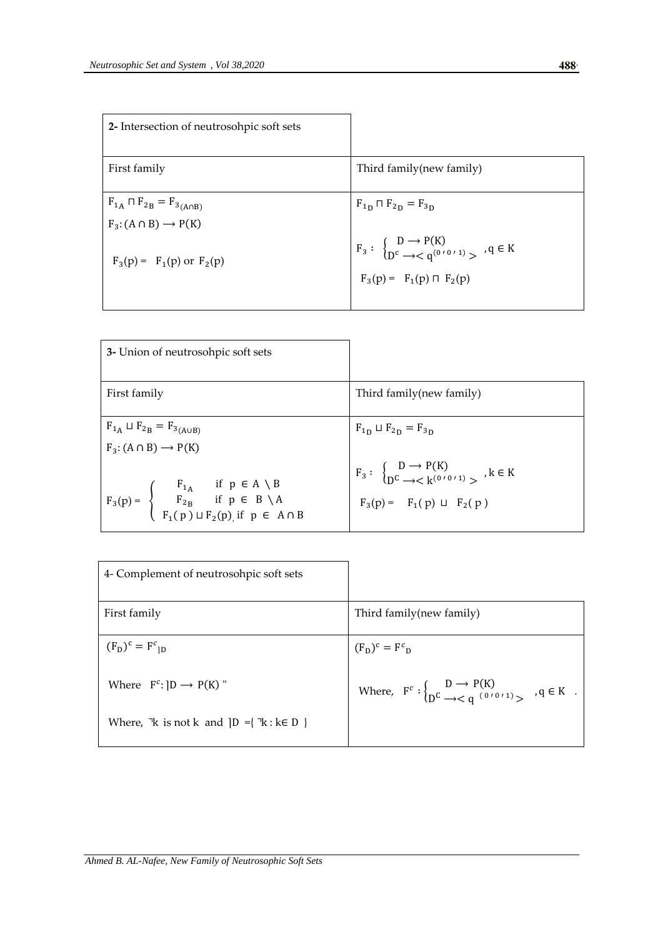| 2- Intersection of neutrosohpic soft sets                                                                          |                                                                                                                                                          |
|--------------------------------------------------------------------------------------------------------------------|----------------------------------------------------------------------------------------------------------------------------------------------------------|
| First family                                                                                                       | Third family (new family)                                                                                                                                |
| $F_{1A} \sqcap F_{2B} = F_{3(A \cap B)}$<br>$F_3$ : $(A \cap B) \rightarrow P(K)$<br>$F_3(p) = F_1(p)$ or $F_2(p)$ | $F_{1D} \sqcap F_{2D} = F_{3D}$<br>$F_3: \begin{cases} D \to P(K) \\ D^c \to < q^{(0'0'1)} > \end{cases}$ , $q \in K$<br>$F_3(p) = F_1(p) \sqcap F_2(p)$ |

| 3- Union of neutrosohpic soft sets                                                                                                                                                                                                                                    |                                                                                                                                                                      |
|-----------------------------------------------------------------------------------------------------------------------------------------------------------------------------------------------------------------------------------------------------------------------|----------------------------------------------------------------------------------------------------------------------------------------------------------------------|
| First family                                                                                                                                                                                                                                                          | Third family (new family)                                                                                                                                            |
| $F_{1_A} \sqcup F_{2_B} = F_{3_{(A \cup B)}}$<br>$F_3$ : $(A \cap B) \rightarrow P(K)$<br>$F_3(p) = \begin{cases} F_{1A} & \text{if } p \in A \setminus B \\ F_{2B} & \text{if } p \in B \setminus A \\ F_1(p) \sqcup F_2(p) & \text{if } p \in A \cap B \end{cases}$ | $F_{1D} \sqcup F_{2D} = F_{3D}$<br>$F_3: \begin{cases} D \rightarrow P(K) \\ D^C \rightarrow L^{(0/0/1)} \end{cases}$ , $k \in K$<br>$F_3(p) = F_1(p) \sqcup F_2(p)$ |

| 4- Complement of neutrosohpic soft sets                           |                                                                                                     |
|-------------------------------------------------------------------|-----------------------------------------------------------------------------------------------------|
| First family                                                      | Third family (new family)                                                                           |
| $(F_D)^c = F^c_{1D}$                                              | $(F_D)^c = F^c_D$                                                                                   |
| Where $F^c:  D \rightarrow P(K) $ "                               | Where, $F^c: \begin{cases} D \to P(K) \\ D^c \to < q^{(0/0/1)} > q \in K \end{cases}$ , $q \in K$ . |
| Where, $\forall$ k is not k and $\{D = \{\forall k : k \in D\}\}$ |                                                                                                     |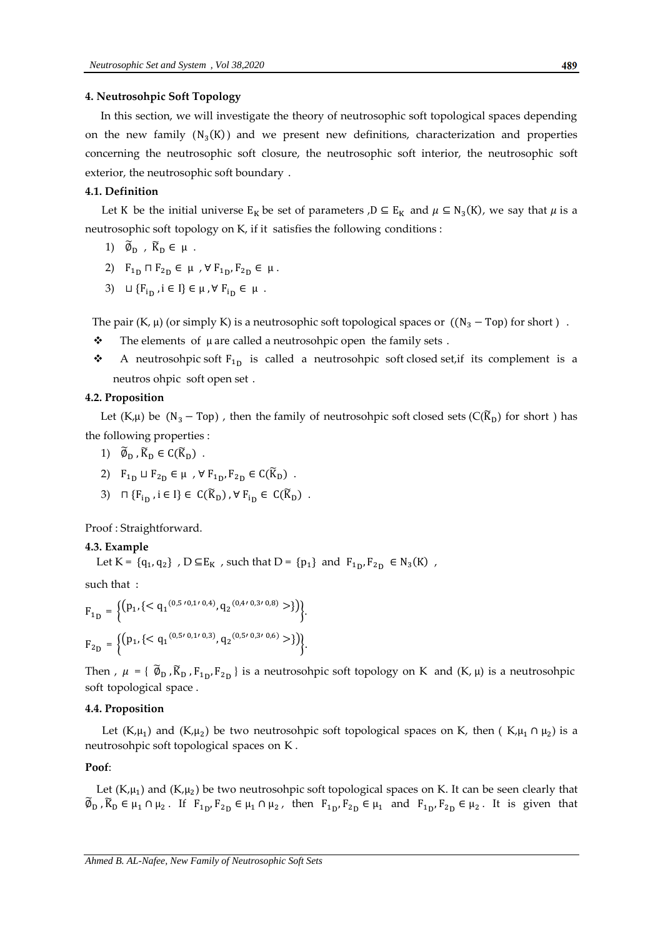#### **4. Neutrosohpic Soft Topology**

In this section, we will investigate the theory of neutrosophic soft topological spaces depending on the new family  $(N_3(K))$  and we present new definitions, characterization and properties concerning the neutrosophic soft closure, the neutrosophic soft interior, the neutrosophic soft exterior, the neutrosophic soft boundary.

#### **4.1. Definition**

Let K be the initial universe  $E_K$  be set of parameters ,  $D \subseteq E_K$  and  $\mu \subseteq N_3(K)$ , we say that  $\mu$  is a neutrosophic soft-topology on K, if it satisfies the following-conditions:

1) 
$$
\widetilde{\emptyset}_D
$$
,  $\widetilde{K}_D \in \mu$ .

2) 
$$
F_{1D} \sqcap F_{2D} \in \mu
$$
,  $\forall$   $F_{1D}$ ,  $F_{2D} \in \mu$ .

3)  $\sqcup \{F_{i} \mid i \in I\} \in \mu$ ,  $\forall F_{i} \in \mu$ .

The pair  $(K, \mu)$  (or simply K) is a neutrosophic soft topological spaces or  $((N_3 - Top)$  for short).

- $\div$  The elements of  $\mu$  are called a neutrosohpic open, the family sets.
- $\bullet$  A neutrosohpic soft  $F_{1p}$  is called a neutrosohpic soft closed set,if its complement is a neutros ohpic soft open set.

## **4.2. Proposition**

Let (K,  $\mu$ ) be (N<sub>3</sub> – Top), then the family of neutrosohpic soft closed sets (C( $\widetilde{K}_{D}$ ) for short) has the following properties :

- 1)  $\widetilde{\emptyset}_D$ ,  $\widetilde{K}_D \in C(\widetilde{K}_D)$ .
- 2)  $F_{1D} \sqcup F_{2D} \in \mu$ ,  $\forall F_{1D}, F_{2D} \in C(\widetilde{K}_{D})$ .
- 3)  $\sqcap \{F_{i_D}, i \in I\} \in C(\widetilde{K}_D)$ ,  $\forall F_{i_D} \in C(\widetilde{K}_D)$ .

Proof : Straightforward.

#### **4.3. Example**

Let K = { $q_1, q_2$ }, D  $\subseteq E_K$ , such that D = { $p_1$ } and  $F_{1p}$ ,  $F_{2p} \in N_3(K)$ ,

such that :

$$
F_{1D} = \left\{ \left( p_1, \{ \langle q_1^{(0,5/0,1/0,4)}, q_2^{(0,4/0,3/0,8)} \rangle \} \right) \right\}.
$$
  
\n
$$
F_{2D} = \left\{ \left( p_1, \{ \langle q_1^{(0,5/0,1/0,3)}, q_2^{(0,5/0,3/0,6)} \rangle \} \right) \right\}.
$$

Then ,  $\mu = \{ \tilde{\emptyset}_D, \tilde{K}_D, F_{1_D}, F_{2_D} \}$  is a neutrosohpic soft topology on K and  $(K, \mu)$  is a neutrosohpic soft topological space.

#### **4.4. Proposition**

Let (K, $\mu_1$ ) and (K, $\mu_2$ ) be two neutrosohpic soft topological spaces on K, then (K, $\mu_1 \cap \mu_2$ ) is a neutrosohpic soft topological spaces on K.

#### **Poof**:

Let  $(K,\mu_1)$  and  $(K,\mu_2)$  be two neutrosohpic soft topological spaces on K. It can be seen clearly that  $\widetilde{\emptyset}_D$ ,  $\widetilde{K}_D \in \mu_1 \cap \mu_2$ . If  $F_{1D}$ ,  $F_{2D} \in \mu_1 \cap \mu_2$ , then  $F_{1D}$ ,  $F_{2D} \in \mu_1$  and  $F_{1D}$ ,  $F_{2D} \in \mu_2$ . It is given that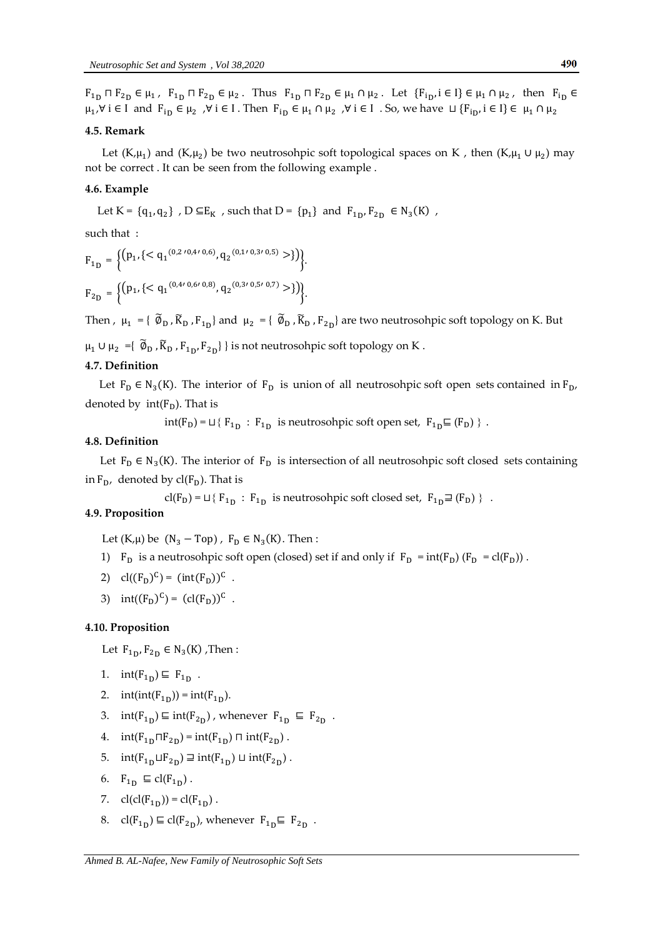#### **4.5. Remark**

Let  $(K,\mu_1)$  and  $(K,\mu_2)$  be two neutrosohpic soft topological spaces on K, then  $(K,\mu_1 \cup \mu_2)$  may not be correct. It can be seen from the following-example.

#### **4.6. Example**

Let K =  $\{q_1, q_2\}$ , D  $\subseteq E_K$ , such that D =  $\{p_1\}$  and  $F_{1p}$ ,  $F_{2p} \in N_3(K)$ ,

such that :

$$
F_{1D} = \left\{ \left( p_1, \left\{ \langle q_1^{(0,2/0,4/0,6)}, q_2^{(0,1/0,3/0,5)} > \right\rangle \right) \right\},\,
$$
  

$$
F_{2D} = \left\{ \left( p_1, \left\{ \langle q_1^{(0,4/0,6/0,8)}, q_2^{(0,3/0,5/0,7)} > \right\rangle \right) \right\}.
$$

Then,  $\mu_1 = {\tilde{\emptyset}_D}$ ,  $\tilde{K}_D$ ,  $F_{1D}$  and  $\mu_2 = {\tilde{\emptyset}_D}$ ,  $\tilde{K}_D$ ,  $F_{2D}$  are two neutrosohpic soft topology on K. But

 $\mu_1 \cup \mu_2 = \{ \ \widetilde{\emptyset}_D$  ,  $\widetilde{K}_D$  ,  $F_{1_D}$ ,  $F_{2_D} \}$  } is not neutrosohpic soft topology on K .

## **4.7. Definition**

Let  $F_D \in N_3(K)$ . The interior of  $F_D$  is union of all neutrosohpic soft open sets contained in  $F_D$ , denoted by  $int(F_D)$ . That is

 $int(F_D) = \sqcup \{ F_{1_D} : F_{1_D} \text{ is neutrosohpic soft open set, } F_{1_D} \sqsubseteq (F_D) \}$ .

#### **4.8. Definition**

Let  $F_D \in N_3(K)$ . The interior of  $F_D$  is intersection of all neutrosohpic soft closed sets containing in  $F_D$ , denoted by  $cl(F_D)$ . That is

 $cl(F_D) = \sqcup \{ F_{1_D} : F_{1_D} \text{ is neutrosohpic soft closed set, } F_{1_D} \sqsupseteq (F_D) \}$ .

#### **4.9. Proposition**

Let  $(K,\mu)$  be  $(N_3 - Top)$ ,  $F_D \in N_3(K)$ . Then:

- 1)  $F_D$  is a neutrosohpic soft open (closed) set if and only if  $F_D = int(F_D) (F_D = cl(F_D))$ .
- 2)  $cl((F_D)^C) = (int(F_D))^C$ .
- 3)  $int((F_D)^C) = (cl(F_D))^C$ .

## **4.10. Proposition**

Let  $F_{1p}$ ,  $F_{2p} \in N_3(K)$ , Then:

- 1.  $int(F_{1D}) \subseteq F_{1D}$ .
- 2. int(int( $F_{1D}$ )) = int( $F_{1D}$ ).
- 3.  $int(F_{1D}) \sqsubseteq int(F_{2D})$ , whenever  $F_{1D} \sqsubseteq F_{2D}$ .
- 4.  $int(F_{1D} \Pi F_{2D}) = int(F_{1D}) \Pi int(F_{2D})$ .
- 5.  $int(F_{1D} \sqcup F_{2D}) \sqsupseteq int(F_{1D}) \sqcup int(F_{2D})$ .
- 6.  $F_{1_D} \subseteq cl(F_{1_D})$ .
- 7.  $cl(cl(F_{1D})) = cl(F_{1D})$ .
- 8.  $cl(F_{1D}) \subseteq cl(F_{2D})$ , whenever  $F_{1D} \subseteq F_{2D}$ .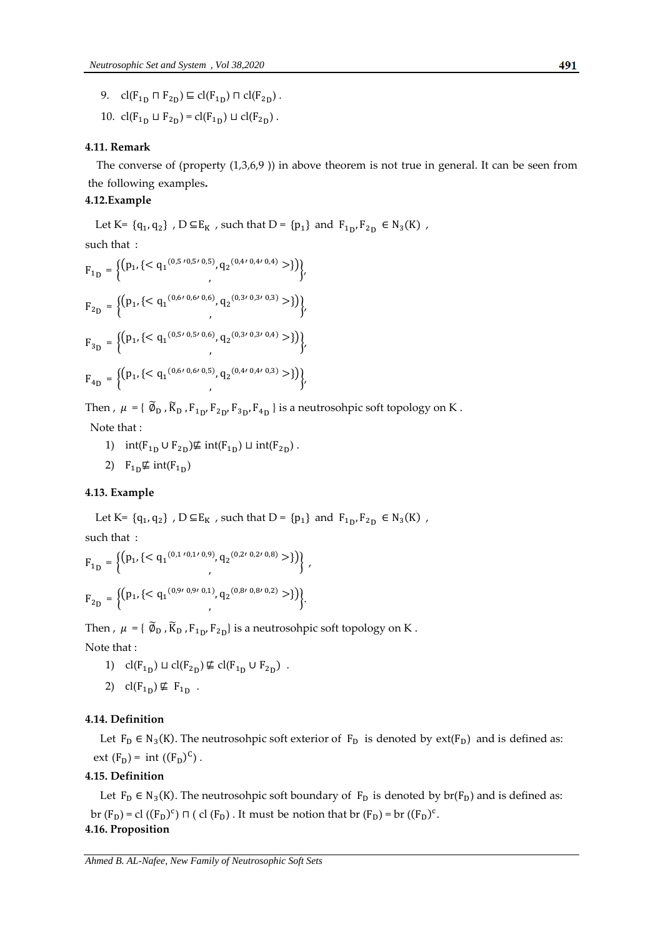- 9.  $cl(F_{1D} \sqcap F_{2D}) \sqsubseteq cl(F_{1D}) \sqcap cl(F_{2D})$ .
- 10.  $cl(F_{1D} \sqcup F_{2D}) = cl(F_{1D}) \sqcup cl(F_{2D})$ .

#### **4.11. Remark,**

The converse of (property  $(1,3,6,9)$ ) in above theorem is not-true in-general. It can be seen-from the following examples.

# **4.12.Example-,**

Let K=  $\{q_1, q_2\}$ , D  $\subseteq E_K$ , such that D =  $\{p_1\}$  and  $F_{1p}$ ,  $F_{2p} \in N_3(K)$ , such that :

$$
F_{1D} = \left\{ \left( p_1, \left\{ \langle q_1^{(0,5/0,5/0,5)}, q_2^{(0,4/0,4/0,4)} \rangle \right\} \right) \right\},\,
$$
\n
$$
F_{2D} = \left\{ \left( p_1, \left\{ \langle q_1^{(0,6/0,6/0,6)}, q_2^{(0,3/0,3/0,3)} \rangle \right\} \right) \right\},\,
$$
\n
$$
F_{3D} = \left\{ \left( p_1, \left\{ \langle q_1^{(0,5/0,5/0,6)}, q_2^{(0,3/0,3/0,4)} \rangle \right\} \right) \right\},\,
$$
\n
$$
F_{4D} = \left\{ \left( p_1, \left\{ \langle q_1^{(0,6/0,6/0,5)}, q_2^{(0,4/0,4/0,3)} \rangle \right\} \right) \right\},\,
$$

Then ,  $\mu = \{ \tilde{\varnothing}_{D}$  ,  $\tilde{K}_{D}$  ,  $F_{1D}$ ,  $F_{2D}$ ,  $F_{3D}$ ,  $F_{4D}$  } is a neutrosohpic soft topology on K. Note that :

- 1)  $int(F_{1D} \cup F_{2D}) \not\equiv int(F_{1D}) \sqcup int(F_{2D})$ .
- 2)  $F_{1D} \not\equiv \text{int}(F_{1D})$

# **4.13. Example**

Let K=  $\{q_1, q_2\}$ , D  $\subseteq E_K$ , such that D =  $\{p_1\}$  and  $F_{1p}$ ,  $F_{2p} \in N_3(K)$ ,

such that :

$$
F_{1D} = \left\{ \left( p_1, \{ \langle q_1^{(0,1/0,1/0,9)}, q_2^{(0,2/0,2/0,8)} > \} \rangle \right) \right\},
$$
  

$$
F_{2D} = \left\{ \left( p_1, \{ \langle q_1^{(0,9/0,9/0,1)}, q_2^{(0,8/0,8/0,2)} > \} \rangle \right) \right\}.
$$

Then ,  $\mu = \{ \widetilde{\varnothing}_{D}, \widetilde{K}_{D}, F_{1D}, F_{2D} \}$  is a neutrosohpic soft topology on K. Note that :

- 1)  $cl(F_{1D}) \sqcup cl(F_{2D}) \nsubseteq cl(F_{1D} \cup F_{2D})$ .
- 2)  $\text{cl}(F_{1\text{D}}) \not\subseteq F_{1\text{D}}$ .

#### **4.14. Definition**

Let  $F_D \in N_3(K)$ . The neutrosohpic soft exterior of  $F_D$  is denoted by ext( $F_D$ ) and is defined as: ext  $(F_D)$  = int  $((F_D)^C)$ .

## **4.15. Definition**

Let  $F_D \in N_3(K)$ . The neutrosohpic soft boundary of  $F_D$  is denoted by br( $F_D$ ) and is defined as: br (F<sub>D</sub>) = cl ((F<sub>D</sub>)<sup>c</sup>)  $\sqcap$  ( cl (F<sub>D</sub>). It must be notion that br (F<sub>D</sub>) = br ((F<sub>D</sub>)<sup>c</sup>. **4.16. Proposition**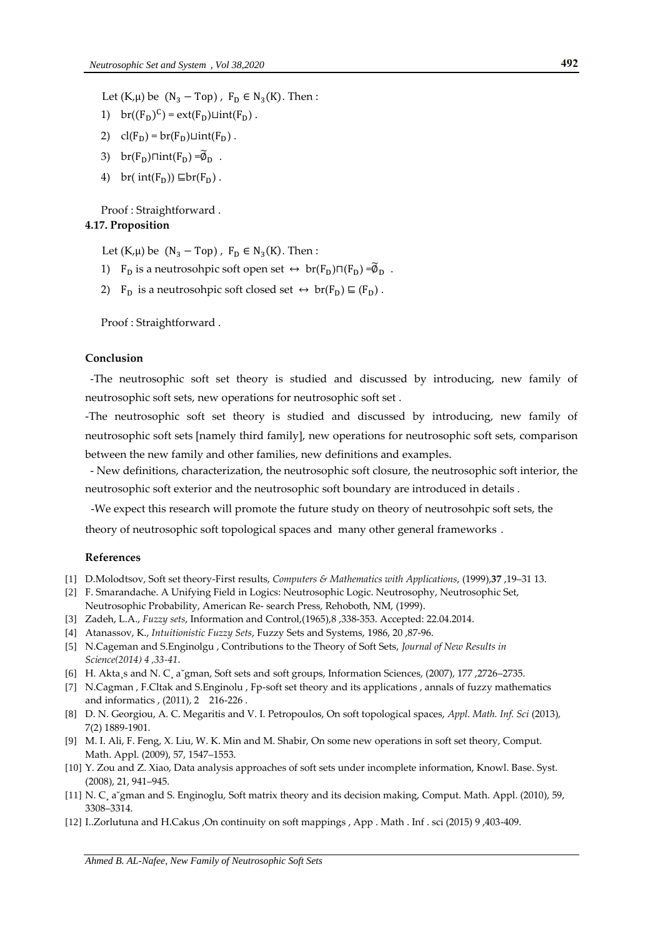Let  $(K,\mu)$  be  $(N_3 - Top)$ ,  $F_D \in N_3(K)$ . Then:

- 1)  $br((F_D)^C) = ext(F_D) \sqcup int(F_D)$ .
- 2)  $cl(F_D) = br(F_D) \sqcup int(F_D)$ .
- 3) br( $F_D$ ) $\sqcap int(F_D) = \widetilde{\emptyset}_D$ .
- 4) br(  $int(F_D)$ )  $\sqsubseteq br(F_D)$ .

# Proof : Straightforward . **4.17. Proposition**

Let  $(K,\mu)$  be  $(N_3 - Top)$ ,  $F_D \in N_3(K)$ . Then:

- 1)  $F_D$  is a neutrosohpic soft open set  $\leftrightarrow$  br( $F_D$ ) $\sqcap (F_D) = \widetilde{\phi}_D$ .
- 2)  $F_D$  is a neutrosohpic soft closed set  $\leftrightarrow$  br( $F_D$ )  $\subseteq$  ( $F_D$ ).

Proof : Straightforward .

# **Conclusion"**

-The neutrosophic soft set theory is studied and discussed by introducing, new family of neutrosophic soft sets, new operations for neutrosophic soft set .

-The neutrosophic soft set theory is studied and discussed by introducing, new family of neutrosophic soft sets [namely third family], new operations for neutrosophic soft sets, comparison between the new family and other families, new definitions and examples.

- New definitions, characterization, the neutrosophic soft closure, the neutrosophic soft interior, the neutrosophic soft exterior and the neutrosophic soft boundary are introduced in details .

-We expect this research will promote the future study on theory of neutrosohpic soft sets, the

theory of neutrosophic soft topological spaces and many other general frameworks.

#### **References**

- [1] D.Molodtsov, Soft set theory-First results, *Computers & Mathematics with Applications*, (1999),**37** ,19–31 13.
- [2] F. Smarandache. A Unifying Field in Logics: Neutrosophic Logic. Neutrosophy, Neutrosophic Set,
- Neutrosophic Probability, American Re- search Press, Rehoboth, NM, (1999).
- [3] Zadeh, L.A., *Fuzzy sets*, Information and Control,(1965),8 ,338-353. Accepted: 22.04.2014.
- [4] Atanassov, K., *Intuitionistic Fuzzy Sets*, Fuzzy Sets and Systems, 1986, 20 ,87-96.
- [5] N.Cageman and S.Enginolgu , Contributions to the Theory of Soft Sets, *Journal of New Results in Science(2014) 4 ,33-41*.
- [6] H. Akta¸s and N. C¸ a˘gman, Soft sets and soft groups, Information Sciences, (2007), 177 ,2726–2735.
- [7] N.Cagman , F.Cltak and S.Enginolu , Fp-soft set theory and its applications , annals of fuzzy mathematics and informatics , (2011), 2 216-226 .
- [8] D. N. Georgiou, A. C. Megaritis and V. I. Petropoulos, On soft topological spaces, *Appl. Math. Inf. Sci* (2013)*,* 7(2) 1889-1901.
- [9] M. I. Ali, F. Feng, X. Liu, W. K. Min and M. Shabir, On some new operations in soft set theory, Comput. Math. Appl. (2009), 57, 1547–1553.
- [10] Y. Zou and Z. Xiao, Data analysis approaches of soft sets under incomplete information, Knowl. Base. Syst. (2008), 21, 941–945.
- [11] N. C¸ a˘gman and S. Enginoglu, Soft matrix theory and its decision making, Comput. Math. Appl. (2010), 59, 3308–3314.
- [12] I..Zorlutuna and H.Cakus ,On continuity on soft mappings , App . Math . Inf . sci (2015) 9 ,403-409.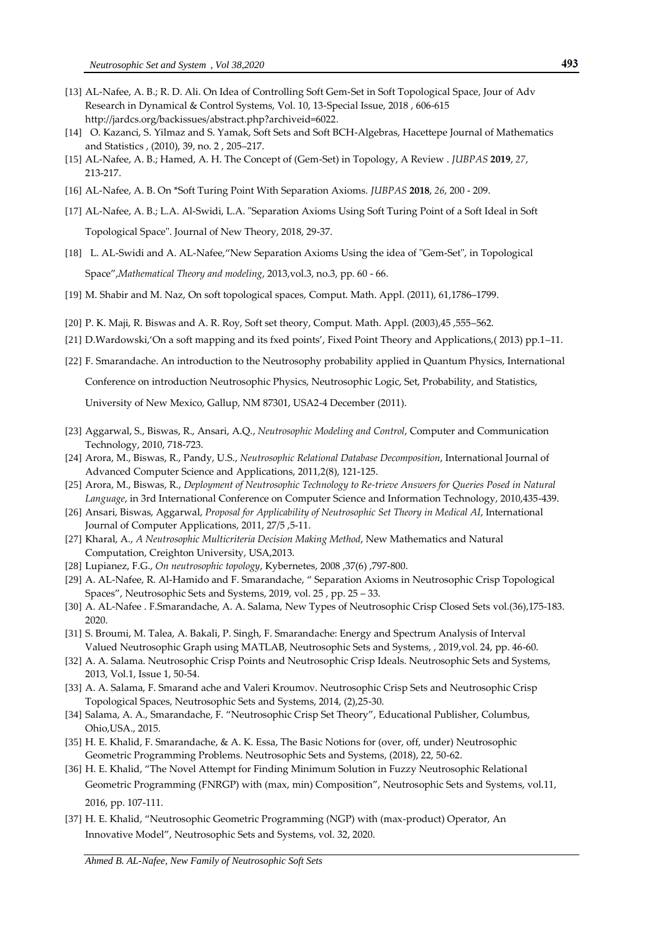- [13] AL-Nafee, A. B.; R. D. Ali. On Idea of Controlling Soft Gem-Set in Soft Topological Space, Jour of Adv Research in Dynamical & Control Systems, Vol. 10, 13-Special Issue, 2018 , 606-615 [http://jardcs.org/backissues/abstract.php?archiveid=6022.](http://jardcs.org/backissues/abstract.php?archiveid=6022&fbclid=IwAR3QIpgTFtjWV6TQY0Tqk06OHgUNrn-HtWU4QBHi7YC5-6ueRGFblw6U42Y)
- [14] O. Kazanci, S. Yilmaz and S. Yamak, Soft Sets and Soft BCH-Algebras, Hacettepe Journal of Mathematics and Statistics , (2010), 39, no. 2 , 205–217.
- [15] AL-Nafee, A. B.; Hamed, A. H. The Concept of (Gem-Set) in Topology, A Review . *JUBPAS* **2019**, *27*, 213-217.
- [16] AL-Nafee, A. B. On \*Soft Turing Point With Separation Axioms. *JUBPAS* **2018**, *26*, 200 209.
- [17] AL-Nafee, A. B.; L.A. Al-Swidi, L.A. "Separation Axioms Using Soft Turing Point of a Soft Ideal in Soft Topological Space". Journal of New Theory, 2018, 29-37.
- [18] L. AL-Swidi and A. AL-Nafee,'New Separation Axioms Using the idea of "Gem-Set", in Topological Space',*Mathematical Theory and modeling*, 2013,vol.3, no.3, pp. 60 - 66.
- [19] M. Shabir and M. Naz, On soft topological spaces, Comput. Math. Appl. (2011), 61,1786–1799.
- [20] P. K. Maji, R. Biswas and A. R. Roy, Soft set theory, Comput. Math. Appl. (2003),45 ,555–562.
- [21] D.Wardowski,'On a soft mapping and its fxed points', Fixed Point Theory and Applications,( 2013) pp.1–11.
- [22] F. Smarandache. An introduction to the Neutrosophy probability applied in Quantum Physics, International

Conference on introduction Neutrosophic Physics, Neutrosophic Logic, Set, Probability, and Statistics,

University of New Mexico, Gallup, NM 87301, USA2-4 December (2011).

- [23] Aggarwal, S., Biswas, R., Ansari, A.Q., *Neutrosophic Modeling and Control*, Computer and Communication Technology, 2010, 718-723.
- [24] Arora, M., Biswas, R., Pandy, U.S., *Neutrosophic Relational Database Decomposition*, International Journal of Advanced Computer Science and Applications, 2011,2(8), 121-125.
- [25] Arora, M., Biswas, R., *Deployment of Neutrosophic Technology to Re-trieve Answers for Queries Posed in Natural Language*, in 3rd International Conference on Computer Science and Information Technology, 2010,435-439.
- [26] Ansari, Biswas, Aggarwal, *Proposal for Applicability of Neutrosophic Set Theory in Medical AI*, International Journal of Computer Applications, 2011, 27/5 ,5-11.
- [27] Kharal, A., *A Neutrosophic Multicriteria Decision Making Method*, New Mathematics and Natural Computation, Creighton University, USA,2013.
- [28] Lupianez, F.G., *On neutrosophic topology*, Kybernetes, 2008 ,37(6) ,797-800.
- [29] A. AL-Nafee, R. Al-Hamido and F. Smarandache, ' Separation Axioms in Neutrosophic Crisp Topological Spaces', Neutrosophic Sets and Systems, 2019, vol. 25 , pp. 25 – 33.
- [30] A. AL-Nafee . F.Smarandache, A. A. Salama, New Types of Neutrosophic Crisp Closed Sets vol.(36),175-183. 2020.
- [31] S. Broumi, M. Talea, A. Bakali, P. Singh, F. Smarandache: Energy and Spectrum Analysis of Interval Valued Neutrosophic Graph using MATLAB, Neutrosophic Sets and Systems, , 2019,vol. 24, pp. 46-60.
- [32] A. A. Salama. Neutrosophic Crisp Points and Neutrosophic Crisp Ideals. Neutrosophic Sets and Systems, 2013, Vol.1, Issue 1, 50-54.
- [33] A. A. Salama, F. Smarand ache and Valeri Kroumov. Neutrosophic Crisp Sets and Neutrosophic Crisp Topological Spaces, Neutrosophic Sets and Systems, 2014, (2),25-30.
- [34] Salama, A. A., Smarandache, F. 'Neutrosophic Crisp Set Theory', Educational Publisher, Columbus, Ohio,USA., 2015.
- [35] H. E. Khalid, F. Smarandache, & A. K. Essa, The Basic Notions for (over, off, under) Neutrosophic Geometric Programming Problems. Neutrosophic Sets and Systems, (2018), 22, 50-62.
- [36] H. E. Khalid, 'The Novel Attempt for Finding Minimum Solution in Fuzzy Neutrosophic Relational Geometric Programming (FNRGP) with (max, min) Composition', Neutrosophic Sets and Systems, vol.11, 2016, pp. 107-111.
- [37] H. E. Khalid, 'Neutrosophic Geometric Programming (NGP) with (max-product) Operator, An Innovative Model', Neutrosophic Sets and Systems, vol. 32, 2020.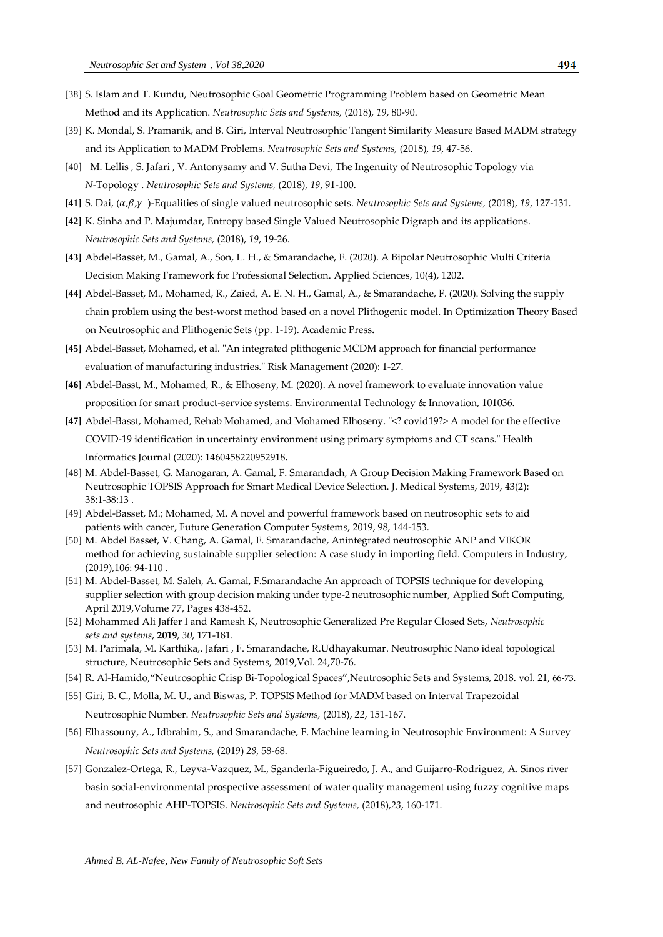- [38] S. Islam and T. Kundu, Neutrosophic Goal Geometric Programming Problem based on Geometric Mean Method and its Application. *Neutrosophic Sets and Systems,* (2018), *19*, 80-90.
- [39] K. Mondal, S. Pramanik, and B. Giri, Interval Neutrosophic Tangent Similarity Measure Based MADM strategy and its Application to MADM Problems. *Neutrosophic Sets and Systems,* (2018), *19*, 47-56.
- [40] M. Lellis , S. Jafari , V. Antonysamy and V. Sutha Devi, The Ingenuity of Neutrosophic Topology via *N*-Topology . *Neutrosophic Sets and Systems,* (2018), *19*, 91-100.
- [41] S. Dai,  $(\alpha, \beta, \gamma)$ -Equalities of single valued neutrosophic sets. *Neutrosophic Sets and Systems*, (2018), 19, 127-131.
- **[42]** K. Sinha and P. Majumdar, Entropy based Single Valued Neutrosophic Digraph and its applications. *Neutrosophic Sets and Systems,* (2018), *19*, 19-26.
- **[43]** Abdel-Basset, M., Gamal, A., Son, L. H., & Smarandache, F. (2020). A Bipolar Neutrosophic Multi Criteria Decision Making Framework for Professional Selection. Applied Sciences, 10(4), 1202.
- **[44]** Abdel-Basset, M., Mohamed, R., Zaied, A. E. N. H., Gamal, A., & Smarandache, F. (2020). Solving the supply chain problem using the best-worst method based on a novel Plithogenic model. In Optimization Theory Based on Neutrosophic and Plithogenic Sets (pp. 1-19). Academic Press**.**
- **[45]** Abdel-Basset, Mohamed, et al. "An integrated plithogenic MCDM approach for financial performance evaluation of manufacturing industries." Risk Management (2020): 1-27.
- **[46]** Abdel-Basst, M., Mohamed, R., & Elhoseny, M. (2020). A novel framework to evaluate innovation value proposition for smart product-service systems. Environmental Technology & Innovation, 101036.
- **[47]** Abdel-Basst, Mohamed, Rehab Mohamed, and Mohamed Elhoseny. "<? covid19?> A model for the effective COVID-19 identification in uncertainty environment using primary symptoms and CT scans." Health Informatics Journal (2020): 1460458220952918**.**
- [48] M. Abdel-Basset, G. Manogaran, A. Gamal, F. Smarandach, A Group Decision Making Framework Based on Neutrosophic TOPSIS Approach for Smart Medical Device Selection. J. Medical Systems, 2019, 43(2): 38:1-38:13 .
- [49] Abdel-Basset, M.; Mohamed, M. A novel and powerful framework based on neutrosophic sets to aid patients with cancer, Future Generation Computer Systems, 2019, 98, 144-153.
- [50] M. Abdel Basset, V. Chang, A. Gamal, F. Smarandache, Anintegrated neutrosophic ANP and VIKOR method for achieving sustainable supplier selection: A case study in importing field. Computers in Industry, (2019),106: 94-110 .
- [51] [M. Abdel-Basset,](https://www.sciencedirect.com/science/article/pii/S1568494619300419#!) [M. Saleh,](https://www.sciencedirect.com/science/article/pii/S1568494619300419#!) [A. Gamal, F.Smarandache](https://www.sciencedirect.com/science/article/pii/S1568494619300419#!) An approach of TOPSIS technique for developing supplier selection with group decision making under type-2 neutrosophic number, Applied Soft Computing, April 201[9,Volume 77,](https://www.sciencedirect.com/science/journal/15684946/77/supp/C) Pages 438-452.
- [52] Mohammed Ali Jaffer I and Ramesh K, Neutrosophic Generalized Pre Regular Closed Sets, *Neutrosophic sets and systems*, **2019**, *30*, 171-181.
- [53] M. Parimala, M. Karthika,. Jafari , F. Smarandache, R.Udhayakumar. Neutrosophic Nano ideal topological structure, Neutrosophic Sets and Systems, 2019,Vol. 24,70-76.
- [54] R. Al-Hamido,'Neutrosophic Crisp Bi-Topological Spaces',Neutrosophic Sets and Systems, 2018. vol. 21, 66-73.
- [55] Giri, B. C., Molla, M. U., and Biswas, P. TOPSIS Method for MADM based on Interval Trapezoidal

Neutrosophic Number. *Neutrosophic Sets and Systems,* (2018), *22*, 151-167.

- [56] Elhassouny, A., Idbrahim, S., and Smarandache, F. Machine learning in Neutrosophic Environment: A Survey *Neutrosophic Sets and Systems,* (2019) *28*, 58-68.
- [57] Gonzalez-Ortega, R., Leyva-Vazquez, M., Sganderla-Figueiredo, J. A., and Guijarro-Rodriguez, A. Sinos river basin social-environmental prospective assessment of water quality management using fuzzy cognitive maps and neutrosophic AHP-TOPSIS. *Neutrosophic Sets and Systems,* (2018),*23*, 160-171.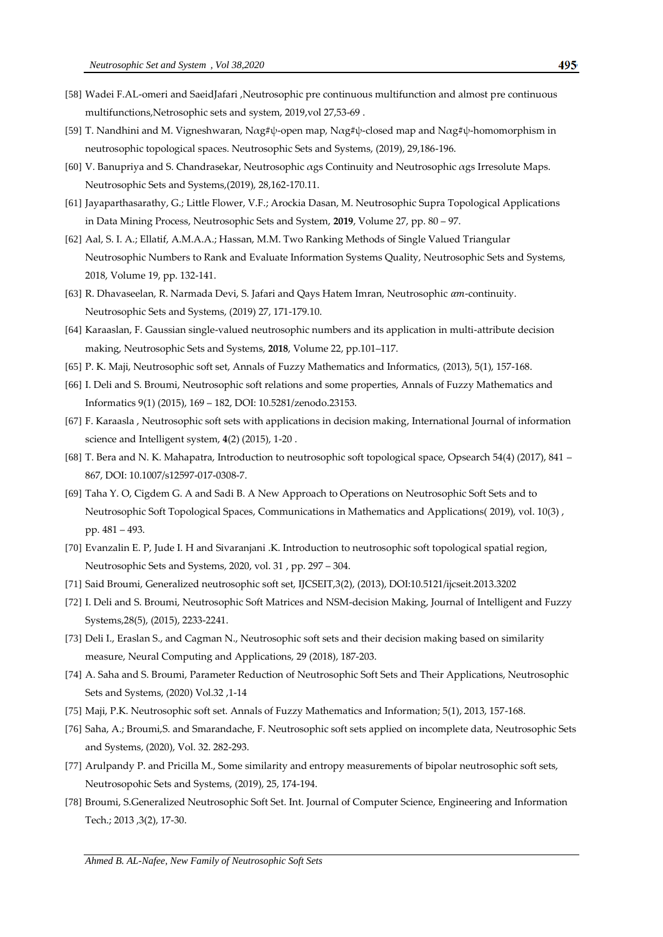- [58] Wadei F.AL-omeri and SaeidJafari ,Neutrosophic pre continuous multifunction and almost pre continuous multifunctions,Netrosophic sets and system, 2019,vol 27,53-69 .
- [59] T. Nandhini and M. Vigneshwaran, Nαg#ψ-open map, Nαg#ψ-closed map and Nαg#ψ-homomorphism in neutrosophic topological spaces. Neutrosophic Sets and Systems, (2019), 29,186-196.
- [60] V. Banupriya and S. Chandrasekar, Neutrosophic αgs Continuity and Neutrosophic αgs Irresolute Maps. Neutrosophic Sets and Systems,(2019), 28,162-170.11.
- [61] Jayaparthasarathy, G.; Little Flower, V.F.; Arockia Dasan, M. Neutrosophic Supra Topological Applications in Data Mining Process, Neutrosophic Sets and System, **2019**, Volume 27, pp. 80 – 97.
- [62] Aal, S. I. A.; Ellatif, A.M.A.A.; Hassan, M.M. Two Ranking Methods of Single Valued Triangular Neutrosophic Numbers to Rank and Evaluate Information Systems Quality, Neutrosophic Sets and Systems, 2018, Volume 19, pp. 132-141.
- [63] R. Dhavaseelan, R. Narmada Devi, S. Jafari and Qays Hatem Imran, Neutrosophic  $\alpha m$ -continuity. Neutrosophic Sets and Systems, (2019) 27, 171-179.10.
- [64] Karaaslan, F. Gaussian single-valued neutrosophic numbers and its application in multi-attribute decision making, Neutrosophic Sets and Systems, **2018**, Volume 22, pp.101–117.
- [65] P. K. Maji, Neutrosophic soft set, Annals of Fuzzy Mathematics and Informatics, (2013), 5(1), 157-168.
- [66] I. Deli and S. Broumi, Neutrosophic soft relations and some properties, Annals of Fuzzy Mathematics and Informatics 9(1) (2015), 169 – 182, DOI: 10.5281/zenodo.23153.
- [67] F. Karaasla , Neutrosophic soft sets with applications in decision making, International Journal of information science and Intelligent system, **4**(2) (2015), 1-20 .
- [68] T. Bera and N. K. Mahapatra, Introduction to neutrosophic soft topological space, Opsearch 54(4) (2017), 841 867, DOI: 10.1007/s12597-017-0308-7.
- [69] Taha Y. O, Cigdem G. A and Sadi B. A New Approach to Operations on Neutrosophic Soft Sets and to Neutrosophic Soft Topological Spaces, Communications in Mathematics and Applications( 2019), vol. 10(3) , pp. 481 – 493.
- [70] Evanzalin E. P, Jude I. H and Sivaranjani .K. Introduction to neutrosophic soft topological spatial region, Neutrosophic Sets and Systems, 2020, vol. 31 , pp. 297 – 304.
- [71] Said Broumi, Generalized neutrosophic soft set, IJCSEIT,3(2), (2013), DOI:10.5121/ijcseit.2013.3202
- [72] I. Deli and S. Broumi, Neutrosophic Soft Matrices and NSM-decision Making, Journal of Intelligent and Fuzzy Systems,28(5), (2015), 2233-2241.
- [73] Deli I., Eraslan S., and Cagman N., Neutrosophic soft sets and their decision making based on similarity measure, Neural Computing and Applications, 29 (2018), 187-203.
- [74] A. Saha and S. Broumi, Parameter Reduction of Neutrosophic Soft Sets and Their Applications, Neutrosophic Sets and Systems, (2020) Vol.32 ,1-14
- [75] Maji, P.K. Neutrosophic soft set. Annals of Fuzzy Mathematics and Information; 5(1), 2013, 157-168.
- [76] Saha, A.; Broumi,S. and Smarandache, F. Neutrosophic soft sets applied on incomplete data, Neutrosophic Sets and Systems, (2020), Vol. 32. 282-293.
- [77] Arulpandy P. and Pricilla M., Some similarity and entropy measurements of bipolar neutrosophic soft sets, Neutrosopohic Sets and Systems, (2019), 25, 174-194.
- [78] Broumi, S.Generalized Neutrosophic Soft Set. Int. Journal of Computer Science, Engineering and Information Tech.; 2013 ,3(2), 17-30.